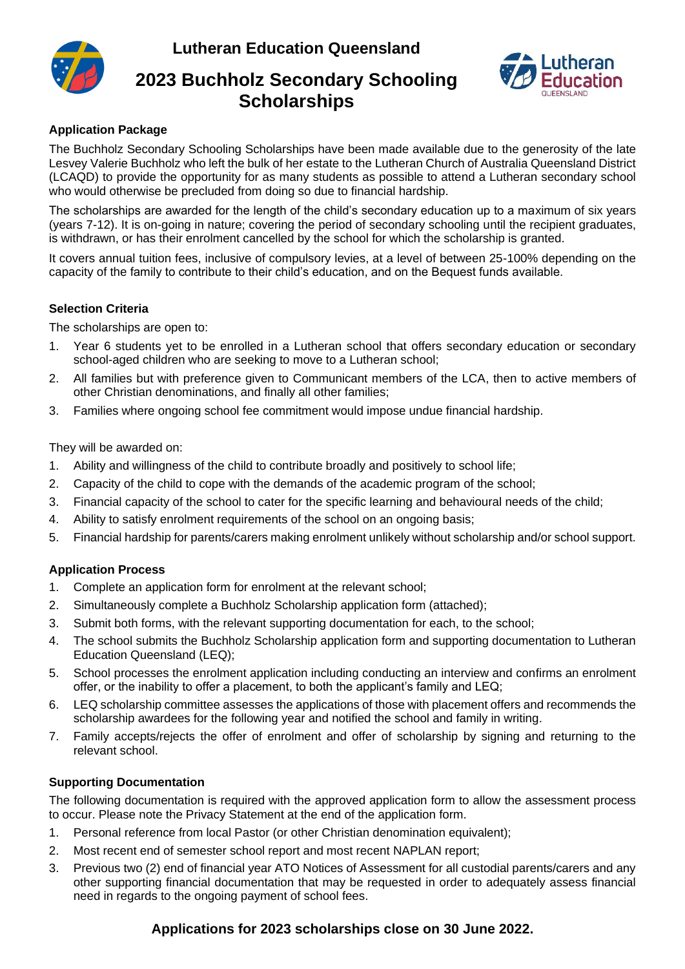**Lutheran Education Queensland**



# **2023 Buchholz Secondary Schooling Scholarships**



# **Application Package**

The Buchholz Secondary Schooling Scholarships have been made available due to the generosity of the late Lesvey Valerie Buchholz who left the bulk of her estate to the Lutheran Church of Australia Queensland District (LCAQD) to provide the opportunity for as many students as possible to attend a Lutheran secondary school who would otherwise be precluded from doing so due to financial hardship.

The scholarships are awarded for the length of the child's secondary education up to a maximum of six years (years 7-12). It is on-going in nature; covering the period of secondary schooling until the recipient graduates, is withdrawn, or has their enrolment cancelled by the school for which the scholarship is granted.

It covers annual tuition fees, inclusive of compulsory levies, at a level of between 25-100% depending on the capacity of the family to contribute to their child's education, and on the Bequest funds available.

#### **Selection Criteria**

The scholarships are open to:

- 1. Year 6 students yet to be enrolled in a Lutheran school that offers secondary education or secondary school-aged children who are seeking to move to a Lutheran school;
- 2. All families but with preference given to Communicant members of the LCA, then to active members of other Christian denominations, and finally all other families;
- 3. Families where ongoing school fee commitment would impose undue financial hardship.

They will be awarded on:

- 1. Ability and willingness of the child to contribute broadly and positively to school life;
- 2. Capacity of the child to cope with the demands of the academic program of the school;
- 3. Financial capacity of the school to cater for the specific learning and behavioural needs of the child;
- 4. Ability to satisfy enrolment requirements of the school on an ongoing basis;
- 5. Financial hardship for parents/carers making enrolment unlikely without scholarship and/or school support.

## **Application Process**

- 1. Complete an application form for enrolment at the relevant school;
- 2. Simultaneously complete a Buchholz Scholarship application form (attached);
- 3. Submit both forms, with the relevant supporting documentation for each, to the school;
- 4. The school submits the Buchholz Scholarship application form and supporting documentation to Lutheran Education Queensland (LEQ);
- 5. School processes the enrolment application including conducting an interview and confirms an enrolment offer, or the inability to offer a placement, to both the applicant's family and LEQ;
- 6. LEQ scholarship committee assesses the applications of those with placement offers and recommends the scholarship awardees for the following year and notified the school and family in writing.
- 7. Family accepts/rejects the offer of enrolment and offer of scholarship by signing and returning to the relevant school.

## **Supporting Documentation**

The following documentation is required with the approved application form to allow the assessment process to occur. Please note the Privacy Statement at the end of the application form.

- 1. Personal reference from local Pastor (or other Christian denomination equivalent);
- 2. Most recent end of semester school report and most recent NAPLAN report;
- 3. Previous two (2) end of financial year ATO Notices of Assessment for all custodial parents/carers and any other supporting financial documentation that may be requested in order to adequately assess financial need in regards to the ongoing payment of school fees.

# **Applications for 2023 scholarships close on 30 June 2022.**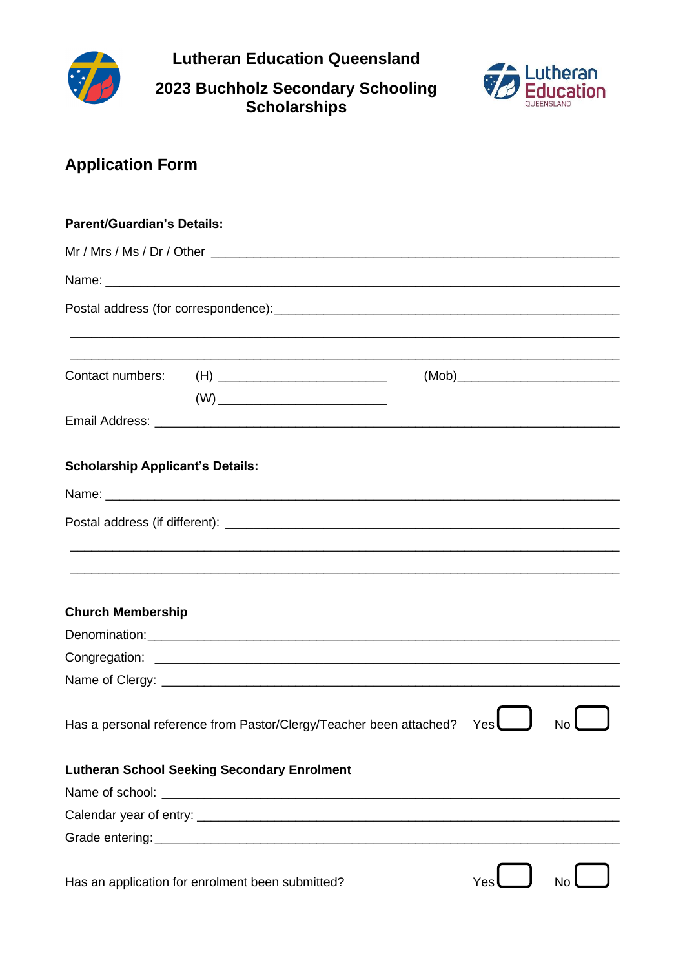

**Lutheran Education Queensland** 

# 2023 Buchholz Secondary Schooling<br>Scholarships



# **Application Form**

| <b>Parent/Guardian's Details:</b>       |                                                                    |     |           |
|-----------------------------------------|--------------------------------------------------------------------|-----|-----------|
|                                         |                                                                    |     |           |
|                                         |                                                                    |     |           |
|                                         |                                                                    |     |           |
|                                         |                                                                    |     |           |
|                                         | Contact numbers: (H) ____________________________                  |     |           |
|                                         |                                                                    |     |           |
| <b>Scholarship Applicant's Details:</b> |                                                                    |     |           |
|                                         |                                                                    |     |           |
|                                         |                                                                    |     |           |
|                                         |                                                                    |     |           |
| <b>Church Membership</b>                |                                                                    |     |           |
|                                         |                                                                    |     |           |
|                                         |                                                                    |     |           |
|                                         |                                                                    |     |           |
|                                         | Has a personal reference from Pastor/Clergy/Teacher been attached? | Yes | <b>No</b> |
|                                         | <b>Lutheran School Seeking Secondary Enrolment</b>                 |     |           |
|                                         |                                                                    |     |           |
|                                         |                                                                    |     |           |
|                                         |                                                                    |     |           |
|                                         | Has an application for enrolment been submitted?                   | Yes | No        |